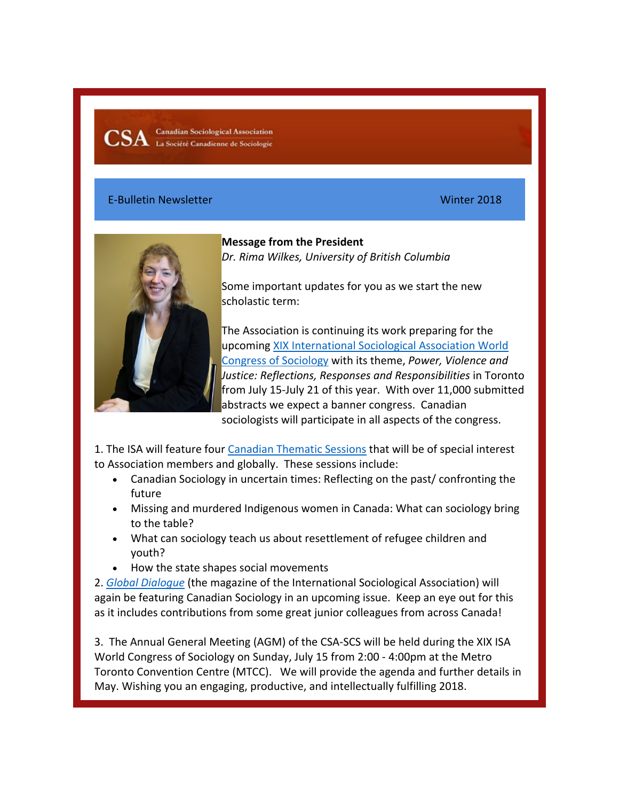**Canadian Sociological Association** La Société Canadienne de Sociologie

### E-Bulletin Newsletter Winter 2018



**Message from the President**  *Dr. Rima Wilkes, University of British Columbia*

Some important updates for you as we start the new scholastic term:

The Association is continuing its work preparing for the upcoming XIX International Sociological Association World Congress of Sociology with its theme, *Power, Violence and Justice: Reflections, Responses and Responsibilities* in Toronto from July 15-July 21 of this year. With over 11,000 submitted abstracts we expect a banner congress. Canadian sociologists will participate in all aspects of the congress.

1. The ISA will feature four Canadian Thematic Sessions that will be of special interest to Association members and globally. These sessions include:

- Canadian Sociology in uncertain times: Reflecting on the past/ confronting the future
- Missing and murdered Indigenous women in Canada: What can sociology bring to the table?
- What can sociology teach us about resettlement of refugee children and youth?
- How the state shapes social movements

2. *Global Dialogue* (the magazine of the International Sociological Association) will again be featuring Canadian Sociology in an upcoming issue. Keep an eye out for this as it includes contributions from some great junior colleagues from across Canada!

3. The Annual General Meeting (AGM) of the CSA-SCS will be held during the XIX ISA World Congress of Sociology on Sunday, July 15 from 2:00 - 4:00pm at the Metro Toronto Convention Centre (MTCC). We will provide the agenda and further details in May. Wishing you an engaging, productive, and intellectually fulfilling 2018.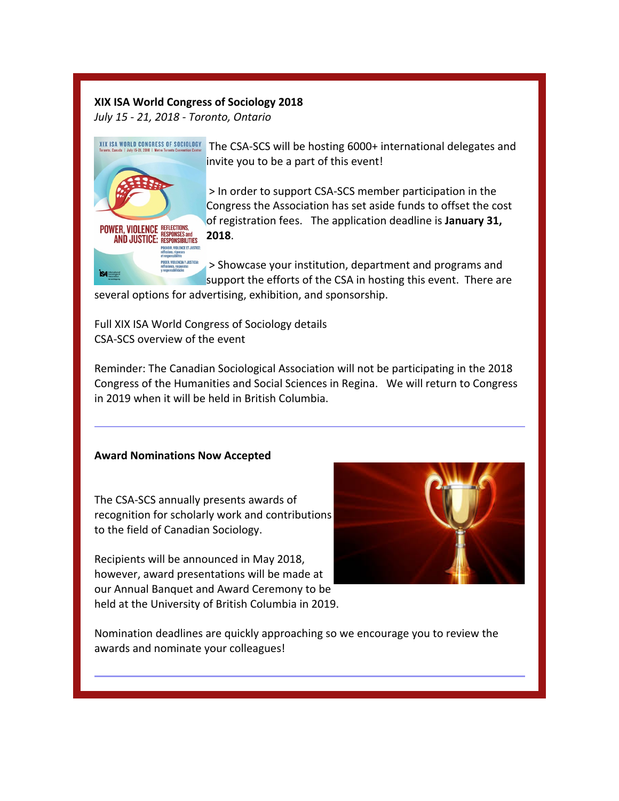# **XIX ISA World Congress of Sociology 2018**

*July 15 - 21, 2018 - Toronto, Ontario*

**RESPONSES and** 

**POUVOIR, VIOLENCE ET JUSTICE** .<br>Er, violencia y justicia:

**POWER, VIOLENCE REFLECTIONS,** 

**IS4** 

**AND JUSTICE: RESPONSIBILITIES** 

XIX ISA WORLD CONGRESS OF SOCIOLOGY The CSA-SCS will be hosting 6000+ international delegates and invite you to be a part of this event!

> > In order to support CSA-SCS member participation in the Congress the Association has set aside funds to offset the cost of registration fees. The application deadline is **January 31, 2018**.

> > Showcase your institution, department and programs and support the efforts of the CSA in hosting this event. There are

several options for advertising, exhibition, and sponsorship.

Full XIX ISA World Congress of Sociology details CSA-SCS overview of the event

Reminder: The Canadian Sociological Association will not be participating in the 2018 Congress of the Humanities and Social Sciences in Regina. We will return to Congress in 2019 when it will be held in British Columbia.

## **Award Nominations Now Accepted**

The CSA-SCS annually presents awards of recognition for scholarly work and contributions to the field of Canadian Sociology.

Recipients will be announced in May 2018, however, award presentations will be made at our Annual Banquet and Award Ceremony to be held at the University of British Columbia in 2019.



Nomination deadlines are quickly approaching so we encourage you to review the awards and nominate your colleagues!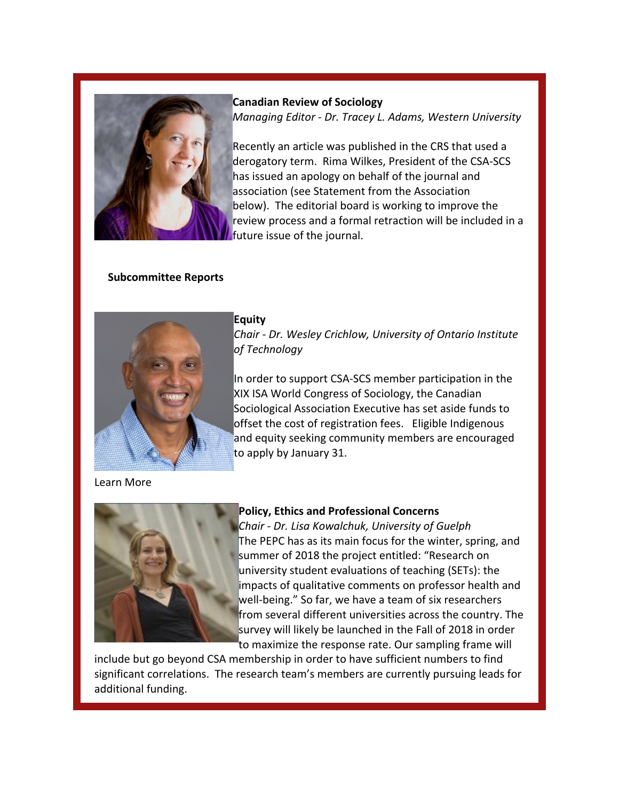

**Canadian Review of Sociology** *Managing Editor - Dr. Tracey L. Adams, Western University*

Recently an article was published in the CRS that used a derogatory term. Rima Wilkes, President of the CSA-SCS has issued an apology on behalf of the journal and association (see Statement from the Association below). The editorial board is working to improve the review process and a formal retraction will be included in a future issue of the journal.

## **Subcommittee Reports**



#### **Equity**

*Chair - Dr. Wesley Crichlow, University of Ontario Institute of Technology*

In order to support CSA-SCS member participation in the XIX ISA World Congress of Sociology, the Canadian Sociological Association Executive has set aside funds to offset the cost of registration fees. Eligible Indigenous and equity seeking community members are encouraged to apply by January 31.

Learn More



## **Policy, Ethics and Professional Concerns**

*Chair - Dr. Lisa Kowalchuk, University of Guelph* The PEPC has as its main focus for the winter, spring, and summer of 2018 the project entitled: "Research on university student evaluations of teaching (SETs): the impacts of qualitative comments on professor health and well-being." So far, we have a team of six researchers from several different universities across the country. The survey will likely be launched in the Fall of 2018 in order to maximize the response rate. Our sampling frame will

include but go beyond CSA membership in order to have sufficient numbers to find significant correlations. The research team's members are currently pursuing leads for additional funding.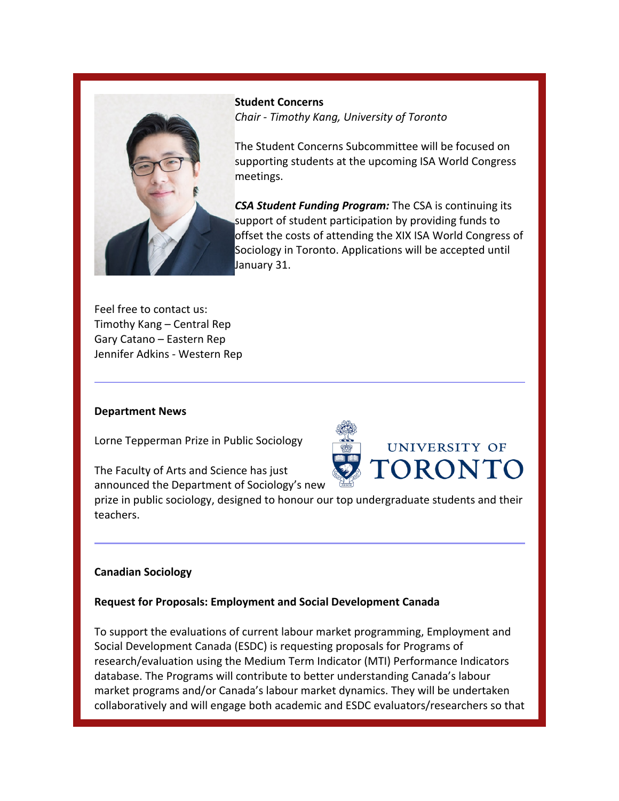

**Student Concerns** *Chair - Timothy Kang, University of Toronto*

The Student Concerns Subcommittee will be focused on supporting students at the upcoming ISA World Congress meetings.

*CSA Student Funding Program:* The CSA is continuing its support of student participation by providing funds to offset the costs of attending the XIX ISA World Congress of Sociology in Toronto. Applications will be accepted until January 31.

Feel free to contact us: Timothy Kang – Central Rep Gary Catano – Eastern Rep Jennifer Adkins - Western Rep

#### **Department News**

Lorne Tepperman Prize in Public Sociology

The Faculty of Arts and Science has just



announced the Department of Sociology's new prize in public sociology, designed to honour our top undergraduate students and their

## **Canadian Sociology**

teachers.

## **Request for Proposals: Employment and Social Development Canada**

To support the evaluations of current labour market programming, Employment and Social Development Canada (ESDC) is requesting proposals for Programs of research/evaluation using the Medium Term Indicator (MTI) Performance Indicators database. The Programs will contribute to better understanding Canada's labour market programs and/or Canada's labour market dynamics. They will be undertaken collaboratively and will engage both academic and ESDC evaluators/researchers so that